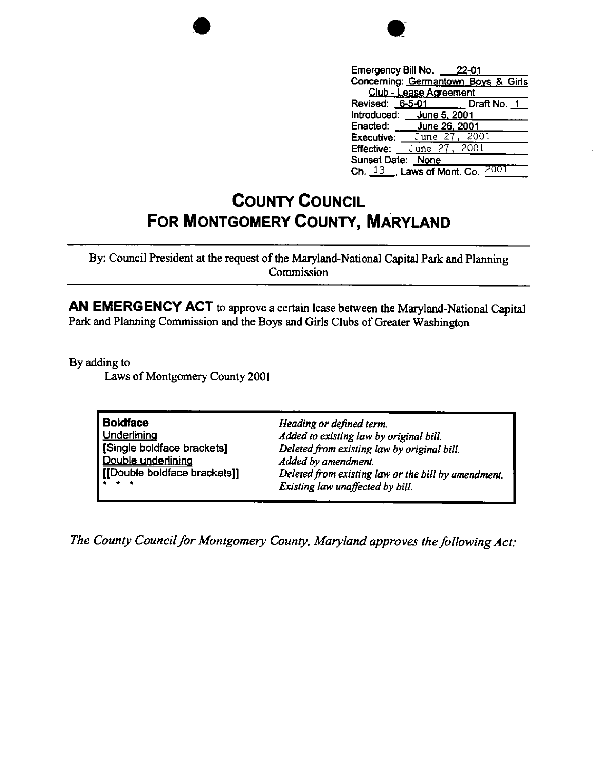

|                                        | Emergency Bill No. 22-01                     |                             |
|----------------------------------------|----------------------------------------------|-----------------------------|
| Concerning: Germantown Boys & Girls    |                                              |                             |
| Club - Lease Agreement                 |                                              |                             |
|                                        |                                              | Revised: 6-5-01 Draft No. 1 |
|                                        | Introduced: June 5, 2001                     |                             |
|                                        | Enacted: June 26, 2001                       |                             |
|                                        | <b>Executive:</b> June $27$ , $2001$         |                             |
|                                        | <b>Effective:</b> June 27, $\overline{2001}$ |                             |
| Sunset Date: None                      |                                              |                             |
| 20<br>$\frac{13}{1}$ Laws of Mont. Co. |                                              |                             |

## **COUNTY COUNCIL FOR MONTGOMERY COUNTY, MARYLAND**

By: Council President at the request of the Maryland-National Capital Park and Planning Commission

**AN EMERGENCY ACT** to approve a certain lease between the Maryland-National Capital Park and Planning Commission and the Boys and Girls Clubs of Greater Washington

By adding to

Laws of Montgomery County 2001

**Boldface Underlining** [Single boldface brackets] Double underlining [[Double boldface **brackets]]**  • • • *Heading or defined term. Added to existing law by original bill. Deleted from existing law by original bill. Added by amendment. Deleted from existing law or the bill by amendment . Existing law unaffected by bill.* 

*The County Council for Montgomery County, Maryland approves the following Act:*